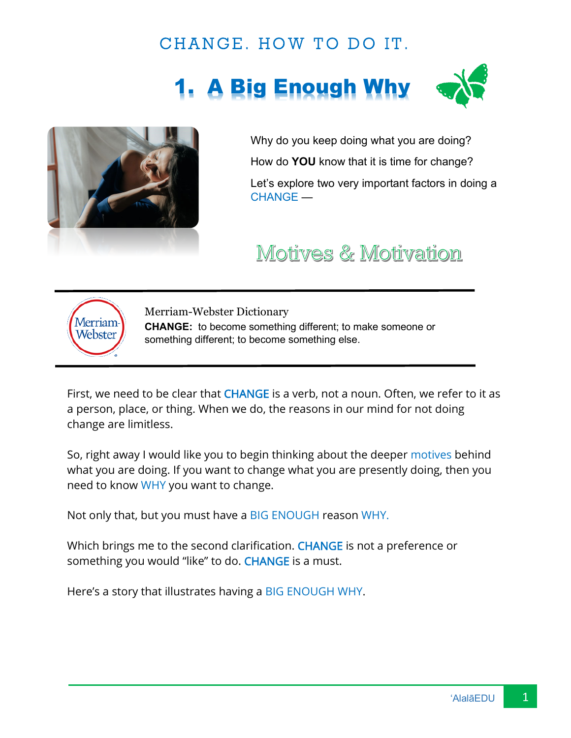#### CHANGE. HOW TO DO IT.

# **A Big Enough Why**





Why do you keep doing what you are doing? How do **YOU** know that it is time for change? Let's explore two very important factors in doing a CHANGE —

## Motives & Motivation



Merriam-Webster Dictionary **CHANGE:** to become something different; to make someone or something different; to become something else.

First, we need to be clear that CHANGE is a verb, not a noun. Often, we refer to it as a person, place, or thing. When we do, the reasons in our mind for not doing change are limitless.

So, right away I would like you to begin thinking about the deeper motives behind what you are doing. If you want to change what you are presently doing, then you need to know WHY you want to change.

Not only that, but you must have a BIG ENOUGH reason WHY.

Which brings me to the second clarification. CHANGE is not a preference or something you would "like" to do. CHANGE is a must.

Here's a story that illustrates having a BIG ENOUGH WHY.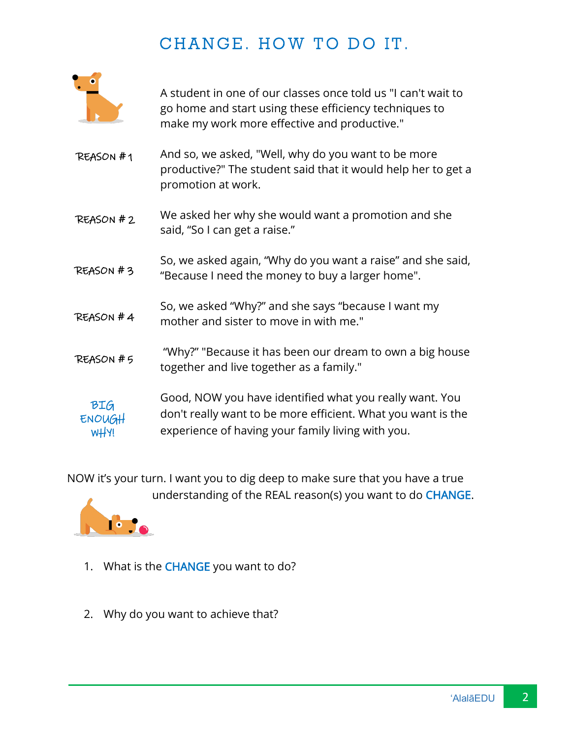## CHANGE. HOW TO DO IT.



A student in one of our classes once told us "I can't wait to go home and start using these efficiency techniques to make my work more effective and productive."

- And so, we asked, "Well, why do you want to be more productive?" The student said that it would help her to get a promotion at work. REASON # 1
- We asked her why she would want a promotion and she said, "So I can get a raise." REASON # 2
- So, we asked again, "Why do you want a raise" and she said, "Because I need the money to buy a larger home". REASON # 3
- So, we asked "Why?" and she says "because I want my mother and sister to move in with me." REASON # 4
- "Why?" "Because it has been our dream to own a big house together and live together as a family." REASON # 5

Good, NOW you have identified what you really want. You don't really want to be more efficient. What you want is the experience of having your family living with you. BIG ENOUGH WHY!

NOW it's your turn. I want you to dig deep to make sure that you have a true understanding of the REAL reason(s) you want to do CHANGE.



- 1. What is the CHANGE you want to do?
- 2. Why do you want to achieve that?